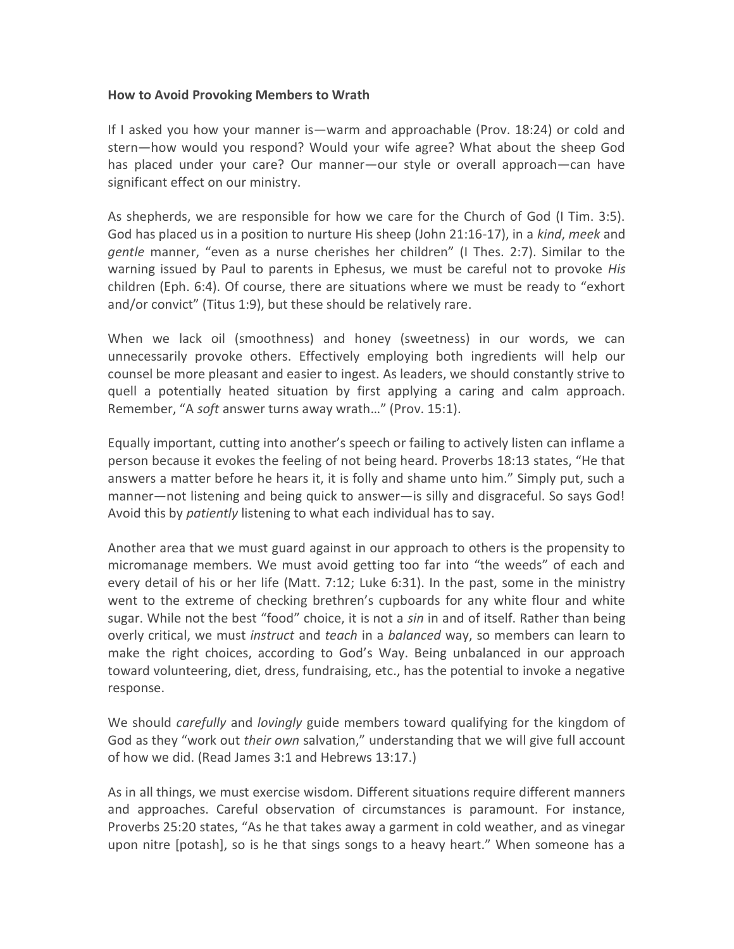## How to Avoid Provoking Members to Wrath

If I asked you how your manner is—warm and approachable (Prov. 18:24) or cold and stern—how would you respond? Would your wife agree? What about the sheep God has placed under your care? Our manner—our style or overall approach—can have significant effect on our ministry.

As shepherds, we are responsible for how we care for the Church of God (I Tim. 3:5). God has placed us in a position to nurture His sheep (John 21:16-17), in a kind, meek and gentle manner, "even as a nurse cherishes her children" (I Thes. 2:7). Similar to the warning issued by Paul to parents in Ephesus, we must be careful not to provoke His children (Eph. 6:4). Of course, there are situations where we must be ready to "exhort and/or convict" (Titus 1:9), but these should be relatively rare.

When we lack oil (smoothness) and honey (sweetness) in our words, we can unnecessarily provoke others. Effectively employing both ingredients will help our counsel be more pleasant and easier to ingest. As leaders, we should constantly strive to quell a potentially heated situation by first applying a caring and calm approach. Remember, "A soft answer turns away wrath…" (Prov. 15:1).

Equally important, cutting into another's speech or failing to actively listen can inflame a person because it evokes the feeling of not being heard. Proverbs 18:13 states, "He that answers a matter before he hears it, it is folly and shame unto him." Simply put, such a manner—not listening and being quick to answer—is silly and disgraceful. So says God! Avoid this by *patiently* listening to what each individual has to say.

Another area that we must guard against in our approach to others is the propensity to micromanage members. We must avoid getting too far into "the weeds" of each and every detail of his or her life (Matt. 7:12; Luke 6:31). In the past, some in the ministry went to the extreme of checking brethren's cupboards for any white flour and white sugar. While not the best "food" choice, it is not a *sin* in and of itself. Rather than being overly critical, we must *instruct* and *teach* in a *balanced* way, so members can learn to make the right choices, according to God's Way. Being unbalanced in our approach toward volunteering, diet, dress, fundraising, etc., has the potential to invoke a negative response.

We should *carefully* and *lovingly* guide members toward qualifying for the kingdom of God as they "work out *their own* salvation," understanding that we will give full account of how we did. (Read James 3:1 and Hebrews 13:17.)

As in all things, we must exercise wisdom. Different situations require different manners and approaches. Careful observation of circumstances is paramount. For instance, Proverbs 25:20 states, "As he that takes away a garment in cold weather, and as vinegar upon nitre [potash], so is he that sings songs to a heavy heart." When someone has a